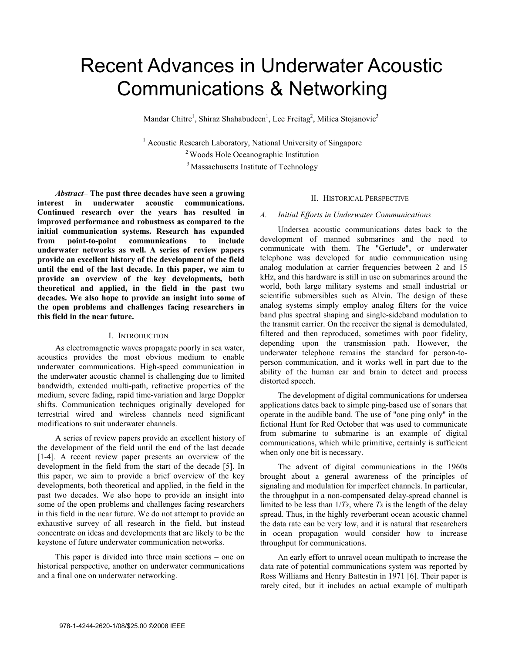# Recent Advances in Underwater Acoustic Communications & Networking

Mandar Chitre<sup>1</sup>, Shiraz Shahabudeen<sup>1</sup>, Lee Freitag<sup>2</sup>, Milica Stojanovic<sup>3</sup>

<sup>1</sup> Acoustic Research Laboratory, National University of Singapore 2 Woods Hole Oceanographic Institution <sup>3</sup> Massachusetts Institute of Technology

*Abstract***– The past three decades have seen a growing interest in underwater acoustic communications. Continued research over the years has resulted in improved performance and robustness as compared to the initial communication systems. Research has expanded from point-to-point communications to include underwater networks as well. A series of review papers provide an excellent history of the development of the field until the end of the last decade. In this paper, we aim to provide an overview of the key developments, both theoretical and applied, in the field in the past two decades. We also hope to provide an insight into some of the open problems and challenges facing researchers in this field in the near future.**

## I. INTRODUCTION

As electromagnetic waves propagate poorly in sea water, acoustics provides the most obvious medium to enable underwater communications. High-speed communication in the underwater acoustic channel is challenging due to limited bandwidth, extended multi-path, refractive properties of the medium, severe fading, rapid time-variation and large Doppler shifts. Communication techniques originally developed for terrestrial wired and wireless channels need significant modifications to suit underwater channels.

A series of review papers provide an excellent history of the development of the field until the end of the last decade [1-4]. A recent review paper presents an overview of the development in the field from the start of the decade [5]. In this paper, we aim to provide a brief overview of the key developments, both theoretical and applied, in the field in the past two decades. We also hope to provide an insight into some of the open problems and challenges facing researchers in this field in the near future. We do not attempt to provide an exhaustive survey of all research in the field, but instead concentrate on ideas and developments that are likely to be the keystone of future underwater communication networks.

This paper is divided into three main sections – one on historical perspective, another on underwater communications and a final one on underwater networking.

#### II. HISTORICAL PERSPECTIVE

#### *A. Initial Efforts in Underwater Communications*

Undersea acoustic communications dates back to the development of manned submarines and the need to communicate with them. The "Gertude", or underwater telephone was developed for audio communication using analog modulation at carrier frequencies between 2 and 15 kHz, and this hardware is still in use on submarines around the world, both large military systems and small industrial or scientific submersibles such as Alvin. The design of these analog systems simply employ analog filters for the voice band plus spectral shaping and single-sideband modulation to the transmit carrier. On the receiver the signal is demodulated, filtered and then reproduced, sometimes with poor fidelity, depending upon the transmission path. However, the underwater telephone remains the standard for person-toperson communication, and it works well in part due to the ability of the human ear and brain to detect and process distorted speech.

The development of digital communications for undersea applications dates back to simple ping-based use of sonars that operate in the audible band. The use of "one ping only" in the fictional Hunt for Red October that was used to communicate from submarine to submarine is an example of digital communications, which while primitive, certainly is sufficient when only one bit is necessary.

The advent of digital communications in the 1960s brought about a general awareness of the principles of signaling and modulation for imperfect channels. In particular, the throughput in a non-compensated delay-spread channel is limited to be less than 1/*Ts*, where *Ts* is the length of the delay spread. Thus, in the highly reverberant ocean acoustic channel the data rate can be very low, and it is natural that researchers in ocean propagation would consider how to increase throughput for communications.

An early effort to unravel ocean multipath to increase the data rate of potential communications system was reported by Ross Williams and Henry Battestin in 1971 [6]. Their paper is rarely cited, but it includes an actual example of multipath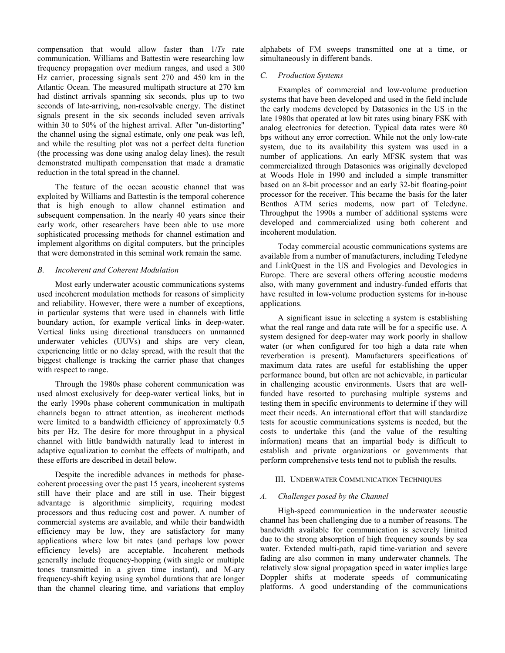compensation that would allow faster than 1/*Ts* rate communication. Williams and Battestin were researching low frequency propagation over medium ranges, and used a 300 Hz carrier, processing signals sent 270 and 450 km in the Atlantic Ocean. The measured multipath structure at 270 km had distinct arrivals spanning six seconds, plus up to two seconds of late-arriving, non-resolvable energy. The distinct signals present in the six seconds included seven arrivals within 30 to 50% of the highest arrival. After "un-distorting" the channel using the signal estimate, only one peak was left, and while the resulting plot was not a perfect delta function (the processing was done using analog delay lines), the result demonstrated multipath compensation that made a dramatic reduction in the total spread in the channel.

The feature of the ocean acoustic channel that was exploited by Williams and Battestin is the temporal coherence that is high enough to allow channel estimation and subsequent compensation. In the nearly 40 years since their early work, other researchers have been able to use more sophisticated processing methods for channel estimation and implement algorithms on digital computers, but the principles that were demonstrated in this seminal work remain the same.

## *B. Incoherent and Coherent Modulation*

Most early underwater acoustic communications systems used incoherent modulation methods for reasons of simplicity and reliability. However, there were a number of exceptions, in particular systems that were used in channels with little boundary action, for example vertical links in deep-water. Vertical links using directional transducers on unmanned underwater vehicles (UUVs) and ships are very clean, experiencing little or no delay spread, with the result that the biggest challenge is tracking the carrier phase that changes with respect to range.

Through the 1980s phase coherent communication was used almost exclusively for deep-water vertical links, but in the early 1990s phase coherent communication in multipath channels began to attract attention, as incoherent methods were limited to a bandwidth efficiency of approximately 0.5 bits per Hz. The desire for more throughput in a physical channel with little bandwidth naturally lead to interest in adaptive equalization to combat the effects of multipath, and these efforts are described in detail below.

Despite the incredible advances in methods for phasecoherent processing over the past 15 years, incoherent systems still have their place and are still in use. Their biggest advantage is algorithmic simplicity, requiring modest processors and thus reducing cost and power. A number of commercial systems are available, and while their bandwidth efficiency may be low, they are satisfactory for many applications where low bit rates (and perhaps low power efficiency levels) are acceptable. Incoherent methods generally include frequency-hopping (with single or multiple tones transmitted in a given time instant), and M-ary frequency-shift keying using symbol durations that are longer than the channel clearing time, and variations that employ

alphabets of FM sweeps transmitted one at a time, or simultaneously in different bands.

#### *C. Production Systems*

Examples of commercial and low-volume production systems that have been developed and used in the field include the early modems developed by Datasonics in the US in the late 1980s that operated at low bit rates using binary FSK with analog electronics for detection. Typical data rates were 80 bps without any error correction. While not the only low-rate system, due to its availability this system was used in a number of applications. An early MFSK system that was commercialized through Datasonics was originally developed at Woods Hole in 1990 and included a simple transmitter based on an 8-bit processor and an early 32-bit floating-point processor for the receiver. This became the basis for the later Benthos ATM series modems, now part of Teledyne. Throughput the 1990s a number of additional systems were developed and commercialized using both coherent and incoherent modulation.

Today commercial acoustic communications systems are available from a number of manufacturers, including Teledyne and LinkQuest in the US and Evologics and Devologics in Europe. There are several others offering acoustic modems also, with many government and industry-funded efforts that have resulted in low-volume production systems for in-house applications.

A significant issue in selecting a system is establishing what the real range and data rate will be for a specific use. A system designed for deep-water may work poorly in shallow water (or when configured for too high a data rate when reverberation is present). Manufacturers specifications of maximum data rates are useful for establishing the upper performance bound, but often are not achievable, in particular in challenging acoustic environments. Users that are wellfunded have resorted to purchasing multiple systems and testing them in specific environments to determine if they will meet their needs. An international effort that will standardize tests for acoustic communications systems is needed, but the costs to undertake this (and the value of the resulting information) means that an impartial body is difficult to establish and private organizations or governments that perform comprehensive tests tend not to publish the results.

#### III. UNDERWATER COMMUNICATION TECHNIQUES

#### *A. Challenges posed by the Channel*

High-speed communication in the underwater acoustic channel has been challenging due to a number of reasons. The bandwidth available for communication is severely limited due to the strong absorption of high frequency sounds by sea water. Extended multi-path, rapid time-variation and severe fading are also common in many underwater channels. The relatively slow signal propagation speed in water implies large Doppler shifts at moderate speeds of communicating platforms. A good understanding of the communications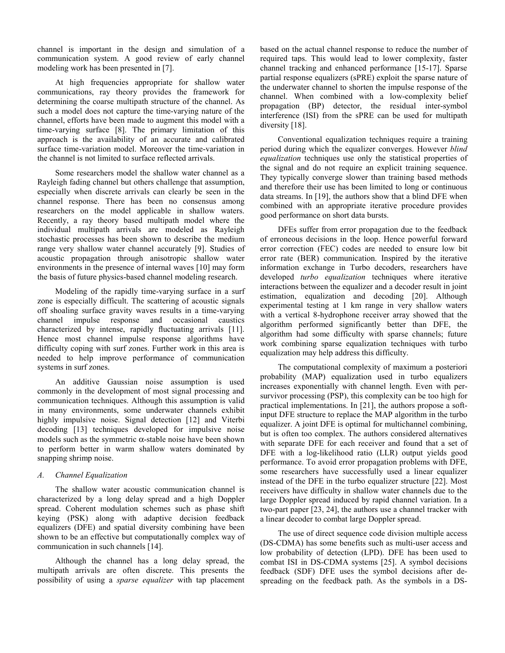channel is important in the design and simulation of a communication system. A good review of early channel modeling work has been presented in [7].

At high frequencies appropriate for shallow water communications, ray theory provides the framework for determining the coarse multipath structure of the channel. As such a model does not capture the time-varying nature of the channel, efforts have been made to augment this model with a time-varying surface [8]. The primary limitation of this approach is the availability of an accurate and calibrated surface time-variation model. Moreover the time-variation in the channel is not limited to surface reflected arrivals.

Some researchers model the shallow water channel as a Rayleigh fading channel but others challenge that assumption, especially when discrete arrivals can clearly be seen in the channel response. There has been no consensus among researchers on the model applicable in shallow waters. Recently, a ray theory based multipath model where the individual multipath arrivals are modeled as Rayleigh stochastic processes has been shown to describe the medium range very shallow water channel accurately [9]. Studies of acoustic propagation through anisotropic shallow water environments in the presence of internal waves [10] may form the basis of future physics-based channel modeling research.

Modeling of the rapidly time-varying surface in a surf zone is especially difficult. The scattering of acoustic signals off shoaling surface gravity waves results in a time-varying channel impulse response and occasional caustics characterized by intense, rapidly fluctuating arrivals [11]. Hence most channel impulse response algorithms have difficulty coping with surf zones. Further work in this area is needed to help improve performance of communication systems in surf zones.

An additive Gaussian noise assumption is used commonly in the development of most signal processing and communication techniques. Although this assumption is valid in many environments, some underwater channels exhibit highly impulsive noise. Signal detection [12] and Viterbi decoding [13] techniques developed for impulsive noise models such as the symmetric  $\alpha$ -stable noise have been shown to perform better in warm shallow waters dominated by snapping shrimp noise.

# *A. Channel Equalization*

The shallow water acoustic communication channel is characterized by a long delay spread and a high Doppler spread. Coherent modulation schemes such as phase shift keying (PSK) along with adaptive decision feedback equalizers (DFE) and spatial diversity combining have been shown to be an effective but computationally complex way of communication in such channels [14].

Although the channel has a long delay spread, the multipath arrivals are often discrete. This presents the possibility of using a *sparse equalizer* with tap placement based on the actual channel response to reduce the number of required taps. This would lead to lower complexity, faster channel tracking and enhanced performance [15-17]. Sparse partial response equalizers (sPRE) exploit the sparse nature of the underwater channel to shorten the impulse response of the channel. When combined with a low-complexity belief propagation (BP) detector, the residual inter-symbol interference (ISI) from the sPRE can be used for multipath diversity [18].

Conventional equalization techniques require a training period during which the equalizer converges. However *blind equalization* techniques use only the statistical properties of the signal and do not require an explicit training sequence. They typically converge slower than training based methods and therefore their use has been limited to long or continuous data streams. In [19], the authors show that a blind DFE when combined with an appropriate iterative procedure provides good performance on short data bursts.

DFEs suffer from error propagation due to the feedback of erroneous decisions in the loop. Hence powerful forward error correction (FEC) codes are needed to ensure low bit error rate (BER) communication. Inspired by the iterative information exchange in Turbo decoders, researchers have developed *turbo equalization* techniques where iterative interactions between the equalizer and a decoder result in joint estimation, equalization and decoding [20]. Although experimental testing at 1 km range in very shallow waters with a vertical 8-hydrophone receiver array showed that the algorithm performed significantly better than DFE, the algorithm had some difficulty with sparse channels; future work combining sparse equalization techniques with turbo equalization may help address this difficulty.

The computational complexity of maximum a posteriori probability (MAP) equalization used in turbo equalizers increases exponentially with channel length. Even with persurvivor processing (PSP), this complexity can be too high for practical implementations. In [21], the authors propose a softinput DFE structure to replace the MAP algorithm in the turbo equalizer. A joint DFE is optimal for multichannel combining, but is often too complex. The authors considered alternatives with separate DFE for each receiver and found that a set of DFE with a log-likelihood ratio (LLR) output yields good performance. To avoid error propagation problems with DFE, some researchers have successfully used a linear equalizer instead of the DFE in the turbo equalizer structure [22]. Most receivers have difficulty in shallow water channels due to the large Doppler spread induced by rapid channel variation. In a two-part paper [23, 24], the authors use a channel tracker with a linear decoder to combat large Doppler spread.

The use of direct sequence code division multiple access (DS-CDMA) has some benefits such as multi-user access and low probability of detection (LPD). DFE has been used to combat ISI in DS-CDMA systems [25]. A symbol decisions feedback (SDF) DFE uses the symbol decisions after despreading on the feedback path. As the symbols in a DS-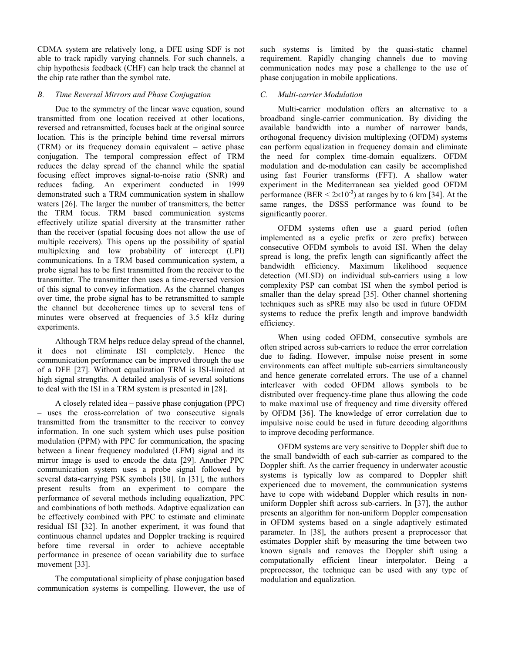CDMA system are relatively long, a DFE using SDF is not able to track rapidly varying channels. For such channels, a chip hypothesis feedback (CHF) can help track the channel at the chip rate rather than the symbol rate.

## *B. Time Reversal Mirrors and Phase Conjugation*

Due to the symmetry of the linear wave equation, sound transmitted from one location received at other locations, reversed and retransmitted, focuses back at the original source location. This is the principle behind time reversal mirrors (TRM) or its frequency domain equivalent – active phase conjugation. The temporal compression effect of TRM reduces the delay spread of the channel while the spatial focusing effect improves signal-to-noise ratio (SNR) and reduces fading. An experiment conducted in 1999 demonstrated such a TRM communication system in shallow waters [26]. The larger the number of transmitters, the better the TRM focus. TRM based communication systems effectively utilize spatial diversity at the transmitter rather than the receiver (spatial focusing does not allow the use of multiple receivers). This opens up the possibility of spatial multiplexing and low probability of intercept (LPI) communications. In a TRM based communication system, a probe signal has to be first transmitted from the receiver to the transmitter. The transmitter then uses a time-reversed version of this signal to convey information. As the channel changes over time, the probe signal has to be retransmitted to sample the channel but decoherence times up to several tens of minutes were observed at frequencies of 3.5 kHz during experiments.

Although TRM helps reduce delay spread of the channel, it does not eliminate ISI completely. Hence the communication performance can be improved through the use of a DFE [27]. Without equalization TRM is ISI-limited at high signal strengths. A detailed analysis of several solutions to deal with the ISI in a TRM system is presented in [28].

A closely related idea – passive phase conjugation (PPC) – uses the cross-correlation of two consecutive signals transmitted from the transmitter to the receiver to convey information. In one such system which uses pulse position modulation (PPM) with PPC for communication, the spacing between a linear frequency modulated (LFM) signal and its mirror image is used to encode the data [29]. Another PPC communication system uses a probe signal followed by several data-carrying PSK symbols [30]. In [31], the authors present results from an experiment to compare the performance of several methods including equalization, PPC and combinations of both methods. Adaptive equalization can be effectively combined with PPC to estimate and eliminate residual ISI [32]. In another experiment, it was found that continuous channel updates and Doppler tracking is required before time reversal in order to achieve acceptable performance in presence of ocean variability due to surface movement [33].

The computational simplicity of phase conjugation based communication systems is compelling. However, the use of such systems is limited by the quasi-static channel requirement. Rapidly changing channels due to moving communication nodes may pose a challenge to the use of phase conjugation in mobile applications.

# *C. Multi-carrier Modulation*

Multi-carrier modulation offers an alternative to a broadband single-carrier communication. By dividing the available bandwidth into a number of narrower bands, orthogonal frequency division multiplexing (OFDM) systems can perform equalization in frequency domain and eliminate the need for complex time-domain equalizers. OFDM modulation and de-modulation can easily be accomplished using fast Fourier transforms (FFT). A shallow water experiment in the Mediterranean sea yielded good OFDM performance (BER  $\leq 2 \times 10^{-3}$ ) at ranges by to 6 km [34]. At the same ranges, the DSSS performance was found to be significantly poorer.

OFDM systems often use a guard period (often implemented as a cyclic prefix or zero prefix) between consecutive OFDM symbols to avoid ISI. When the delay spread is long, the prefix length can significantly affect the bandwidth efficiency. Maximum likelihood sequence detection (MLSD) on individual sub-carriers using a low complexity PSP can combat ISI when the symbol period is smaller than the delay spread [35]. Other channel shortening techniques such as sPRE may also be used in future OFDM systems to reduce the prefix length and improve bandwidth efficiency.

When using coded OFDM, consecutive symbols are often striped across sub-carriers to reduce the error correlation due to fading. However, impulse noise present in some environments can affect multiple sub-carriers simultaneously and hence generate correlated errors. The use of a channel interleaver with coded OFDM allows symbols to be distributed over frequency-time plane thus allowing the code to make maximal use of frequency and time diversity offered by OFDM [36]. The knowledge of error correlation due to impulsive noise could be used in future decoding algorithms to improve decoding performance.

OFDM systems are very sensitive to Doppler shift due to the small bandwidth of each sub-carrier as compared to the Doppler shift. As the carrier frequency in underwater acoustic systems is typically low as compared to Doppler shift experienced due to movement, the communication systems have to cope with wideband Doppler which results in nonuniform Doppler shift across sub-carriers. In [37], the author presents an algorithm for non-uniform Doppler compensation in OFDM systems based on a single adaptively estimated parameter. In [38], the authors present a preprocessor that estimates Doppler shift by measuring the time between two known signals and removes the Doppler shift using a computationally efficient linear interpolator. Being a preprocessor, the technique can be used with any type of modulation and equalization.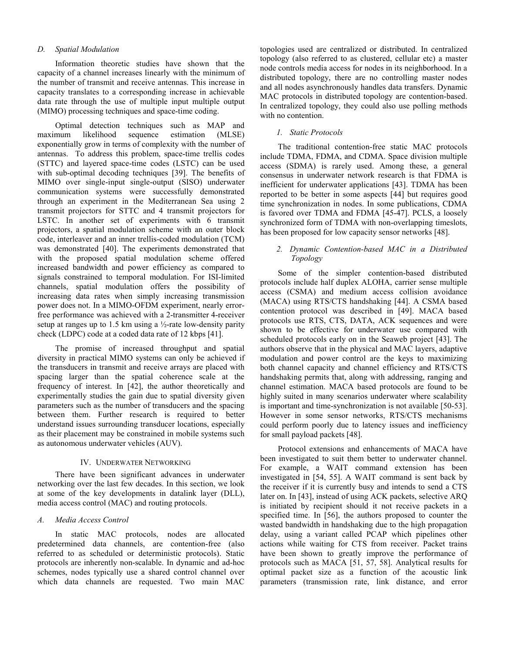## *D. Spatial Modulation*

Information theoretic studies have shown that the capacity of a channel increases linearly with the minimum of the number of transmit and receive antennas. This increase in capacity translates to a corresponding increase in achievable data rate through the use of multiple input multiple output (MIMO) processing techniques and space-time coding.

Optimal detection techniques such as MAP and maximum likelihood sequence estimation (MLSE) exponentially grow in terms of complexity with the number of antennas. To address this problem, space-time trellis codes (STTC) and layered space-time codes (LSTC) can be used with sub-optimal decoding techniques [39]. The benefits of MIMO over single-input single-output (SISO) underwater communication systems were successfully demonstrated through an experiment in the Mediterranean Sea using 2 transmit projectors for STTC and 4 transmit projectors for LSTC. In another set of experiments with 6 transmit projectors, a spatial modulation scheme with an outer block code, interleaver and an inner trellis-coded modulation (TCM) was demonstrated [40]. The experiments demonstrated that with the proposed spatial modulation scheme offered increased bandwidth and power efficiency as compared to signals constrained to temporal modulation. For ISI-limited channels, spatial modulation offers the possibility of increasing data rates when simply increasing transmission power does not. In a MIMO-OFDM experiment, nearly errorfree performance was achieved with a 2-transmitter 4-receiver setup at ranges up to 1.5 km using a  $\frac{1}{2}$ -rate low-density parity check (LDPC) code at a coded data rate of 12 kbps [41].

The promise of increased throughput and spatial diversity in practical MIMO systems can only be achieved if the transducers in transmit and receive arrays are placed with spacing larger than the spatial coherence scale at the frequency of interest. In [42], the author theoretically and experimentally studies the gain due to spatial diversity given parameters such as the number of transducers and the spacing between them. Further research is required to better understand issues surrounding transducer locations, especially as their placement may be constrained in mobile systems such as autonomous underwater vehicles (AUV).

# IV. UNDERWATER NETWORKING

There have been significant advances in underwater networking over the last few decades. In this section, we look at some of the key developments in datalink layer (DLL), media access control (MAC) and routing protocols.

## *A. Media Access Control*

In static MAC protocols, nodes are allocated predetermined data channels, are contention-free (also referred to as scheduled or deterministic protocols). Static protocols are inherently non-scalable. In dynamic and ad-hoc schemes, nodes typically use a shared control channel over which data channels are requested. Two main MAC topologies used are centralized or distributed. In centralized topology (also referred to as clustered, cellular etc) a master node controls media access for nodes in its neighborhood. In a distributed topology, there are no controlling master nodes and all nodes asynchronously handles data transfers. Dynamic MAC protocols in distributed topology are contention-based. In centralized topology, they could also use polling methods with no contention.

#### *1. Static Protocols*

The traditional contention-free static MAC protocols include TDMA, FDMA, and CDMA. Space division multiple access (SDMA) is rarely used. Among these, a general consensus in underwater network research is that FDMA is inefficient for underwater applications [43]. TDMA has been reported to be better in some aspects [44] but requires good time synchronization in nodes. In some publications, CDMA is favored over TDMA and FDMA [45-47]. PCLS, a loosely synchronized form of TDMA with non-overlapping timeslots, has been proposed for low capacity sensor networks [48].

# *2. Dynamic Contention-based MAC in a Distributed Topology*

Some of the simpler contention-based distributed protocols include half duplex ALOHA, carrier sense multiple access (CSMA) and medium access collision avoidance (MACA) using RTS/CTS handshaking [44]. A CSMA based contention protocol was described in [49]. MACA based protocols use RTS, CTS, DATA, ACK sequences and were shown to be effective for underwater use compared with scheduled protocols early on in the Seaweb project [43]. The authors observe that in the physical and MAC layers, adaptive modulation and power control are the keys to maximizing both channel capacity and channel efficiency and RTS/CTS handshaking permits that, along with addressing, ranging and channel estimation. MACA based protocols are found to be highly suited in many scenarios underwater where scalability is important and time-synchronization is not available [50-53]. However in some sensor networks, RTS/CTS mechanisms could perform poorly due to latency issues and inefficiency for small payload packets [48].

Protocol extensions and enhancements of MACA have been investigated to suit them better to underwater channel. For example, a WAIT command extension has been investigated in [54, 55]. A WAIT command is sent back by the receiver if it is currently busy and intends to send a CTS later on. In [43], instead of using ACK packets, selective ARQ is initiated by recipient should it not receive packets in a specified time. In [56], the authors proposed to counter the wasted bandwidth in handshaking due to the high propagation delay, using a variant called PCAP which pipelines other actions while waiting for CTS from receiver. Packet trains have been shown to greatly improve the performance of protocols such as MACA [51, 57, 58]. Analytical results for optimal packet size as a function of the acoustic link parameters (transmission rate, link distance, and error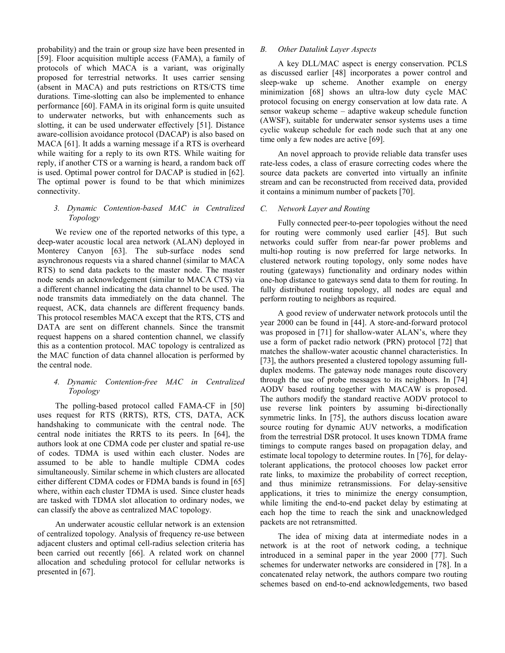probability) and the train or group size have been presented in [59]. Floor acquisition multiple access (FAMA), a family of protocols of which MACA is a variant, was originally proposed for terrestrial networks. It uses carrier sensing (absent in MACA) and puts restrictions on RTS/CTS time durations. Time-slotting can also be implemented to enhance performance [60]. FAMA in its original form is quite unsuited to underwater networks, but with enhancements such as slotting, it can be used underwater effectively [51]. Distance aware-collision avoidance protocol (DACAP) is also based on MACA [61]. It adds a warning message if a RTS is overheard while waiting for a reply to its own RTS. While waiting for reply, if another CTS or a warning is heard, a random back off is used. Optimal power control for DACAP is studied in [62]. The optimal power is found to be that which minimizes connectivity.

# *3. Dynamic Contention-based MAC in Centralized Topology*

We review one of the reported networks of this type, a deep-water acoustic local area network (ALAN) deployed in Monterey Canyon [63]. The sub-surface nodes send asynchronous requests via a shared channel (similar to MACA RTS) to send data packets to the master node. The master node sends an acknowledgement (similar to MACA CTS) via a different channel indicating the data channel to be used. The node transmits data immediately on the data channel. The request, ACK, data channels are different frequency bands. This protocol resembles MACA except that the RTS, CTS and DATA are sent on different channels. Since the transmit request happens on a shared contention channel, we classify this as a contention protocol. MAC topology is centralized as the MAC function of data channel allocation is performed by the central node.

## *4. Dynamic Contention-free MAC in Centralized Topology*

The polling-based protocol called FAMA-CF in [50] uses request for RTS (RRTS), RTS, CTS, DATA, ACK handshaking to communicate with the central node. The central node initiates the RRTS to its peers. In [64], the authors look at one CDMA code per cluster and spatial re-use of codes. TDMA is used within each cluster. Nodes are assumed to be able to handle multiple CDMA codes simultaneously. Similar scheme in which clusters are allocated either different CDMA codes or FDMA bands is found in [65] where, within each cluster TDMA is used. Since cluster heads are tasked with TDMA slot allocation to ordinary nodes, we can classify the above as centralized MAC topology.

An underwater acoustic cellular network is an extension of centralized topology. Analysis of frequency re-use between adjacent clusters and optimal cell-radius selection criteria has been carried out recently [66]. A related work on channel allocation and scheduling protocol for cellular networks is presented in [67].

## *B. Other Datalink Layer Aspects*

A key DLL/MAC aspect is energy conservation. PCLS as discussed earlier [48] incorporates a power control and sleep-wake up scheme. Another example on energy minimization [68] shows an ultra-low duty cycle MAC protocol focusing on energy conservation at low data rate. A sensor wakeup scheme – adaptive wakeup schedule function (AWSF), suitable for underwater sensor systems uses a time cyclic wakeup schedule for each node such that at any one time only a few nodes are active [69].

An novel approach to provide reliable data transfer uses rate-less codes, a class of erasure correcting codes where the source data packets are converted into virtually an infinite stream and can be reconstructed from received data, provided it contains a minimum number of packets [70].

# *C. Network Layer and Routing*

Fully connected peer-to-peer topologies without the need for routing were commonly used earlier [45]. But such networks could suffer from near-far power problems and multi-hop routing is now preferred for large networks. In clustered network routing topology, only some nodes have routing (gateways) functionality and ordinary nodes within one-hop distance to gateways send data to them for routing. In fully distributed routing topology, all nodes are equal and perform routing to neighbors as required.

A good review of underwater network protocols until the year 2000 can be found in [44]. A store-and-forward protocol was proposed in [71] for shallow-water ALAN's, where they use a form of packet radio network (PRN) protocol [72] that matches the shallow-water acoustic channel characteristics. In [73], the authors presented a clustered topology assuming fullduplex modems. The gateway node manages route discovery through the use of probe messages to its neighbors. In [74] AODV based routing together with MACAW is proposed. The authors modify the standard reactive AODV protocol to use reverse link pointers by assuming bi-directionally symmetric links. In [75], the authors discuss location aware source routing for dynamic AUV networks, a modification from the terrestrial DSR protocol. It uses known TDMA frame timings to compute ranges based on propagation delay, and estimate local topology to determine routes. In [76], for delaytolerant applications, the protocol chooses low packet error rate links, to maximize the probability of correct reception, and thus minimize retransmissions. For delay-sensitive applications, it tries to minimize the energy consumption, while limiting the end-to-end packet delay by estimating at each hop the time to reach the sink and unacknowledged packets are not retransmitted.

The idea of mixing data at intermediate nodes in a network is at the root of network coding, a technique introduced in a seminal paper in the year 2000 [77]. Such schemes for underwater networks are considered in [78]. In a concatenated relay network, the authors compare two routing schemes based on end-to-end acknowledgements, two based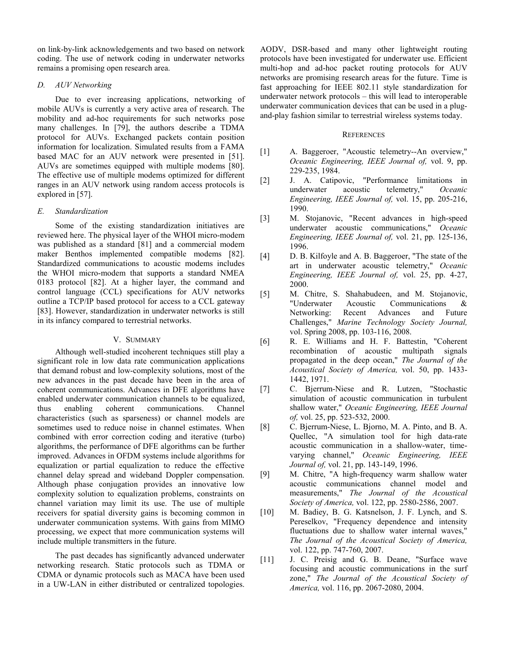on link-by-link acknowledgements and two based on network coding. The use of network coding in underwater networks remains a promising open research area.

# *D. AUV Networking*

Due to ever increasing applications, networking of mobile AUVs is currently a very active area of research. The mobility and ad-hoc requirements for such networks pose many challenges. In [79], the authors describe a TDMA protocol for AUVs. Exchanged packets contain position information for localization. Simulated results from a FAMA based MAC for an AUV network were presented in [51]. AUVs are sometimes equipped with multiple modems [80]. The effective use of multiple modems optimized for different ranges in an AUV network using random access protocols is explored in [57].

### *E. Standardization*

Some of the existing standardization initiatives are reviewed here. The physical layer of the WHOI micro-modem was published as a standard [81] and a commercial modem maker Benthos implemented compatible modems [82]. Standardized communications to acoustic modems includes the WHOI micro-modem that supports a standard NMEA 0183 protocol [82]. At a higher layer, the command and control language (CCL) specifications for AUV networks outline a TCP/IP based protocol for access to a CCL gateway [83]. However, standardization in underwater networks is still in its infancy compared to terrestrial networks.

# V. SUMMARY

Although well-studied incoherent techniques still play a significant role in low data rate communication applications that demand robust and low-complexity solutions, most of the new advances in the past decade have been in the area of coherent communications. Advances in DFE algorithms have enabled underwater communication channels to be equalized, thus enabling coherent communications. Channel characteristics (such as sparseness) or channel models are sometimes used to reduce noise in channel estimates. When combined with error correction coding and iterative (turbo) algorithms, the performance of DFE algorithms can be further improved. Advances in OFDM systems include algorithms for equalization or partial equalization to reduce the effective channel delay spread and wideband Doppler compensation. Although phase conjugation provides an innovative low complexity solution to equalization problems, constraints on channel variation may limit its use. The use of multiple receivers for spatial diversity gains is becoming common in underwater communication systems. With gains from MIMO processing, we expect that more communication systems will include multiple transmitters in the future.

The past decades has significantly advanced underwater networking research. Static protocols such as TDMA or CDMA or dynamic protocols such as MACA have been used in a UW-LAN in either distributed or centralized topologies. AODV, DSR-based and many other lightweight routing protocols have been investigated for underwater use. Efficient multi-hop and ad-hoc packet routing protocols for AUV networks are promising research areas for the future. Time is fast approaching for IEEE 802.11 style standardization for underwater network protocols – this will lead to interoperable underwater communication devices that can be used in a plugand-play fashion similar to terrestrial wireless systems today.

#### **REFERENCES**

- [1] A. Baggeroer, "Acoustic telemetry--An overview," *Oceanic Engineering, IEEE Journal of,* vol. 9, pp. 229-235, 1984.
- [2] J. A. Catipovic, "Performance limitations in underwater acoustic telemetry," *Oceanic Engineering, IEEE Journal of,* vol. 15, pp. 205-216, 1990.
- [3] M. Stojanovic, "Recent advances in high-speed underwater acoustic communications," *Oceanic Engineering, IEEE Journal of,* vol. 21, pp. 125-136, 1996.
- [4] D. B. Kilfoyle and A. B. Baggeroer, "The state of the art in underwater acoustic telemetry," *Oceanic Engineering, IEEE Journal of,* vol. 25, pp. 4-27, 2000.
- [5] M. Chitre, S. Shahabudeen, and M. Stojanovic, "Underwater Acoustic Communications & Networking: Recent Advances and Future Challenges," *Marine Technology Society Journal,*  vol. Spring 2008, pp. 103-116, 2008.
- [6] R. E. Williams and H. F. Battestin, "Coherent recombination of acoustic multipath signals propagated in the deep ocean," *The Journal of the Acoustical Society of America,* vol. 50, pp. 1433- 1442, 1971.
- [7] C. Bjerrum-Niese and R. Lutzen, "Stochastic simulation of acoustic communication in turbulent shallow water," *Oceanic Engineering, IEEE Journal of,* vol. 25, pp. 523-532, 2000.
- [8] C. Bjerrum-Niese, L. Bjorno, M. A. Pinto, and B. A. Quellec, "A simulation tool for high data-rate acoustic communication in a shallow-water, timevarying channel," *Oceanic Engineering, IEEE Journal of,* vol. 21, pp. 143-149, 1996.
- [9] M. Chitre, "A high-frequency warm shallow water acoustic communications channel model and measurements," *The Journal of the Acoustical Society of America,* vol. 122, pp. 2580-2586, 2007.
- [10] M. Badiey, B. G. Katsnelson, J. F. Lynch, and S. Pereselkov, "Frequency dependence and intensity fluctuations due to shallow water internal waves," *The Journal of the Acoustical Society of America,*  vol. 122, pp. 747-760, 2007.
- [11] J. C. Preisig and G. B. Deane, "Surface wave focusing and acoustic communications in the surf zone," *The Journal of the Acoustical Society of America,* vol. 116, pp. 2067-2080, 2004.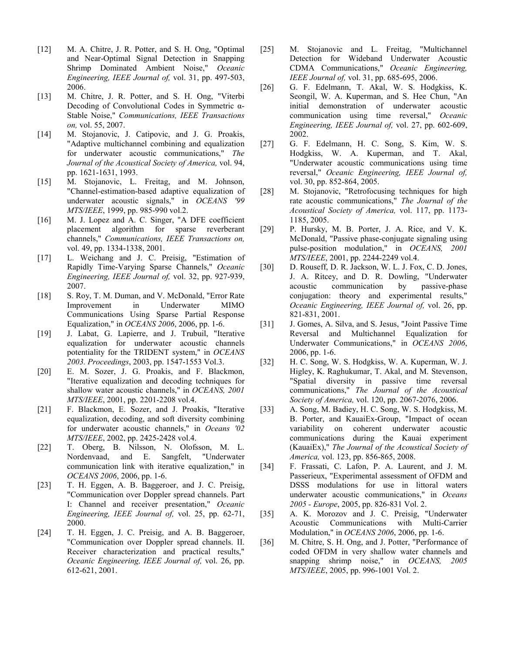- [12] M. A. Chitre, J. R. Potter, and S. H. Ong, "Optimal and Near-Optimal Signal Detection in Snapping Shrimp Dominated Ambient Noise," *Oceanic Engineering, IEEE Journal of,* vol. 31, pp. 497-503, 2006.
- [13] M. Chitre, J. R. Potter, and S. H. Ong, "Viterbi Decoding of Convolutional Codes in Symmetric  $\alpha$ -Stable Noise," *Communications, IEEE Transactions on,* vol. 55, 2007.
- [14] M. Stojanovic, J. Catipovic, and J. G. Proakis, "Adaptive multichannel combining and equalization for underwater acoustic communications," *The Journal of the Acoustical Society of America,* vol. 94, pp. 1621-1631, 1993.
- [15] M. Stojanovic, L. Freitag, and M. Johnson, "Channel-estimation-based adaptive equalization of underwater acoustic signals," in *OCEANS '99 MTS/IEEE*, 1999, pp. 985-990 vol.2.
- [16] M. J. Lopez and A. C. Singer, "A DFE coefficient placement algorithm for sparse reverberant channels," *Communications, IEEE Transactions on,*  vol. 49, pp. 1334-1338, 2001.
- [17] L. Weichang and J. C. Preisig, "Estimation of Rapidly Time-Varying Sparse Channels," *Oceanic Engineering, IEEE Journal of,* vol. 32, pp. 927-939, 2007.
- [18] S. Roy, T. M. Duman, and V. McDonald, "Error Rate" Improvement in Underwater MIMO Communications Using Sparse Partial Response Equalization," in *OCEANS 2006*, 2006, pp. 1-6.
- [19] J. Labat, G. Lapierre, and J. Trubuil, "Iterative equalization for underwater acoustic channels potentiality for the TRIDENT system," in *OCEANS 2003. Proceedings*, 2003, pp. 1547-1553 Vol.3.
- [20] E. M. Sozer, J. G. Proakis, and F. Blackmon, "Iterative equalization and decoding techniques for shallow water acoustic channels," in *OCEANS, 2001 MTS/IEEE*, 2001, pp. 2201-2208 vol.4.
- [21] F. Blackmon, E. Sozer, and J. Proakis, "Iterative equalization, decoding, and soft diversity combining for underwater acoustic channels," in *Oceans '02 MTS/IEEE*, 2002, pp. 2425-2428 vol.4.
- [22] T. Oberg, B. Nilsson, N. Olofsson, M. L. Nordenvaad, and E. Sangfelt, "Underwater communication link with iterative equalization," in *OCEANS 2006*, 2006, pp. 1-6.
- [23] T. H. Eggen, A. B. Baggeroer, and J. C. Preisig, "Communication over Doppler spread channels. Part I: Channel and receiver presentation," *Oceanic Engineering, IEEE Journal of,* vol. 25, pp. 62-71, 2000.
- [24] T. H. Eggen, J. C. Preisig, and A. B. Baggeroer, "Communication over Doppler spread channels. II. Receiver characterization and practical results," *Oceanic Engineering, IEEE Journal of,* vol. 26, pp. 612-621, 2001.
- [25] M. Stojanovic and L. Freitag, "Multichannel Detection for Wideband Underwater Acoustic CDMA Communications," *Oceanic Engineering, IEEE Journal of,* vol. 31, pp. 685-695, 2006.
- [26] G. F. Edelmann, T. Akal, W. S. Hodgkiss, K. Seongil, W. A. Kuperman, and S. Hee Chun, "An initial demonstration of underwater acoustic communication using time reversal," *Oceanic Engineering, IEEE Journal of,* vol. 27, pp. 602-609, 2002.
- [27] G. F. Edelmann, H. C. Song, S. Kim, W. S. Hodgkiss, W. A. Kuperman, and T. Akal, "Underwater acoustic communications using time reversal," *Oceanic Engineering, IEEE Journal of,*  vol. 30, pp. 852-864, 2005.
- [28] M. Stojanovic, "Retrofocusing techniques for high rate acoustic communications," *The Journal of the Acoustical Society of America,* vol. 117, pp. 1173- 1185, 2005.
- [29] P. Hursky, M. B. Porter, J. A. Rice, and V. K. McDonald, "Passive phase-conjugate signaling using pulse-position modulation," in *OCEANS, 2001 MTS/IEEE*, 2001, pp. 2244-2249 vol.4.
- [30] D. Rouseff, D. R. Jackson, W. L. J. Fox, C. D. Jones, J. A. Ritcey, and D. R. Dowling, "Underwater acoustic communication by passive-phase conjugation: theory and experimental results," *Oceanic Engineering, IEEE Journal of,* vol. 26, pp. 821-831, 2001.
- [31] J. Gomes, A. Silva, and S. Jesus, "Joint Passive Time Reversal and Multichannel Equalization for Underwater Communications," in *OCEANS 2006*, 2006, pp. 1-6.
- [32] H. C. Song, W. S. Hodgkiss, W. A. Kuperman, W. J. Higley, K. Raghukumar, T. Akal, and M. Stevenson, "Spatial diversity in passive time reversal communications," *The Journal of the Acoustical Society of America,* vol. 120, pp. 2067-2076, 2006.
- [33] A. Song, M. Badiey, H. C. Song, W. S. Hodgkiss, M. B. Porter, and KauaiEx-Group, "Impact of ocean variability on coherent underwater acoustic communications during the Kauai experiment (KauaiEx)," *The Journal of the Acoustical Society of America,* vol. 123, pp. 856-865, 2008.
- [34] F. Frassati, C. Lafon, P. A. Laurent, and J. M. Passerieux, "Experimental assessment of OFDM and DSSS modulations for use in littoral waters underwater acoustic communications," in *Oceans 2005 - Europe*, 2005, pp. 826-831 Vol. 2.
- [35] A. K. Morozov and J. C. Preisig, "Underwater Acoustic Communications with Multi-Carrier Modulation," in *OCEANS 2006*, 2006, pp. 1-6.
- [36] M. Chitre, S. H. Ong, and J. Potter, "Performance of coded OFDM in very shallow water channels and snapping shrimp noise," in *OCEANS, 2005 MTS/IEEE*, 2005, pp. 996-1001 Vol. 2.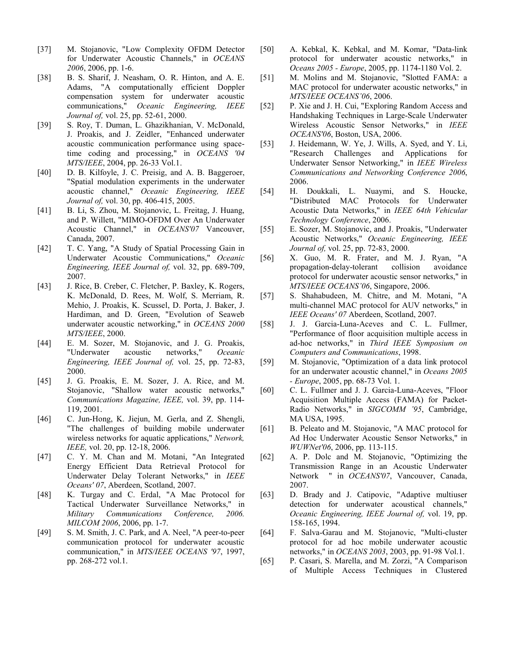- [37] M. Stojanovic, "Low Complexity OFDM Detector for Underwater Acoustic Channels," in *OCEANS 2006*, 2006, pp. 1-6.
- [38] B. S. Sharif, J. Neasham, O. R. Hinton, and A. E. Adams, "A computationally efficient Doppler compensation system for underwater acoustic communications," *Oceanic Engineering, IEEE Journal of,* vol. 25, pp. 52-61, 2000.
- [39] S. Roy, T. Duman, L. Ghazikhanian, V. McDonald, J. Proakis, and J. Zeidler, "Enhanced underwater acoustic communication performance using spacetime coding and processing," in *OCEANS '04 MTS/IEEE*, 2004, pp. 26-33 Vol.1.
- [40] D. B. Kilfoyle, J. C. Preisig, and A. B. Baggeroer, "Spatial modulation experiments in the underwater acoustic channel," *Oceanic Engineering, IEEE Journal of,* vol. 30, pp. 406-415, 2005.
- [41] B. Li, S. Zhou, M. Stojanovic, L. Freitag, J. Huang, and P. Willett, "MIMO-OFDM Over An Underwater Acoustic Channel," in *OCEANS'07* Vancouver, Canada, 2007.
- [42] T. C. Yang, "A Study of Spatial Processing Gain in Underwater Acoustic Communications," *Oceanic Engineering, IEEE Journal of,* vol. 32, pp. 689-709, 2007.
- [43] J. Rice, B. Creber, C. Fletcher, P. Baxley, K. Rogers, K. McDonald, D. Rees, M. Wolf, S. Merriam, R. Mehio, J. Proakis, K. Scussel, D. Porta, J. Baker, J. Hardiman, and D. Green, "Evolution of Seaweb underwater acoustic networking," in *OCEANS 2000 MTS/IEEE*, 2000.
- [44] E. M. Sozer, M. Stojanovic, and J. G. Proakis, "Underwater acoustic networks," *Oceanic Engineering, IEEE Journal of,* vol. 25, pp. 72-83, 2000.
- [45] J. G. Proakis, E. M. Sozer, J. A. Rice, and M. Stojanovic, "Shallow water acoustic networks," *Communications Magazine, IEEE,* vol. 39, pp. 114- 119, 2001.
- [46] C. Jun-Hong, K. Jiejun, M. Gerla, and Z. Shengli, "The challenges of building mobile underwater wireless networks for aquatic applications," *Network, IEEE,* vol. 20, pp. 12-18, 2006.
- [47] C. Y. M. Chan and M. Motani, "An Integrated Energy Efficient Data Retrieval Protocol for Underwater Delay Tolerant Networks," in *IEEE Oceans' 07*, Aberdeen, Scotland, 2007.
- [48] K. Turgay and C. Erdal, "A Mac Protocol for Tactical Underwater Surveillance Networks," in *Military Communications Conference, 2006. MILCOM 2006*, 2006, pp. 1-7.
- [49] S. M. Smith, J. C. Park, and A. Neel, "A peer-to-peer communication protocol for underwater acoustic communication," in *MTS/IEEE OCEANS '97*, 1997, pp. 268-272 vol.1.
- [50] A. Kebkal, K. Kebkal, and M. Komar, "Data-link protocol for underwater acoustic networks," in *Oceans 2005 - Europe*, 2005, pp. 1174-1180 Vol. 2.
- [51] M. Molins and M. Stojanovic, "Slotted FAMA: a MAC protocol for underwater acoustic networks," in *MTS/IEEE OCEANS'06*, 2006.
- [52] P. Xie and J. H. Cui, "Exploring Random Access and Handshaking Techniques in Large-Scale Underwater Wireless Acoustic Sensor Networks," in *IEEE OCEANS'06*, Boston, USA, 2006.
- [53] J. Heidemann, W. Ye, J. Wills, A. Syed, and Y. Li, "Research Challenges and Applications for Underwater Sensor Networking," in *IEEE Wireless Communications and Networking Conference 2006*, 2006.
- [54] H. Doukkali, L. Nuaymi, and S. Houcke, "Distributed MAC Protocols for Underwater Acoustic Data Networks," in *IEEE 64th Vehicular Technology Conference*, 2006.
- [55] E. Sozer, M. Stojanovic, and J. Proakis, "Underwater Acoustic Networks," *Oceanic Engineering, IEEE Journal of,* vol. 25, pp. 72-83, 2000.
- [56] X. Guo, M. R. Frater, and M. J. Ryan, "A propagation-delay-tolerant collision avoidance protocol for underwater acoustic sensor networks," in *MTS/IEEE OCEANS'06*, Singapore, 2006.
- [57] S. Shahabudeen, M. Chitre, and M. Motani, "A multi-channel MAC protocol for AUV networks," in *IEEE Oceans' 07* Aberdeen, Scotland, 2007.
- [58] J. J. Garcia-Luna-Aceves and C. L. Fullmer, "Performance of floor acquisition multiple access in ad-hoc networks," in *Third IEEE Symposium on Computers and Communications*, 1998.
- [59] M. Stojanovic, "Optimization of a data link protocol for an underwater acoustic channel," in *Oceans 2005 - Europe*, 2005, pp. 68-73 Vol. 1.
- [60] C. L. Fullmer and J. J. Garcia-Luna-Aceves, "Floor Acquisition Multiple Access (FAMA) for Packet-Radio Networks," in *SIGCOMM '95*, Cambridge, MA USA, 1995.
- [61] B. Peleato and M. Stojanovic, "A MAC protocol for Ad Hoc Underwater Acoustic Sensor Networks," in *WUWNet'06*, 2006, pp. 113-115.
- [62] A. P. Dolc and M. Stojanovic, "Optimizing the Transmission Range in an Acoustic Underwater Network " in *OCEANS'07*, Vancouver, Canada, 2007.
- [63] D. Brady and J. Catipovic, "Adaptive multiuser detection for underwater acoustical channels," *Oceanic Engineering, IEEE Journal of,* vol. 19, pp. 158-165, 1994.
- [64] F. Salva-Garau and M. Stojanovic, "Multi-cluster protocol for ad hoc mobile underwater acoustic networks," in *OCEANS 2003*, 2003, pp. 91-98 Vol.1.
- [65] P. Casari, S. Marella, and M. Zorzi, "A Comparison of Multiple Access Techniques in Clustered